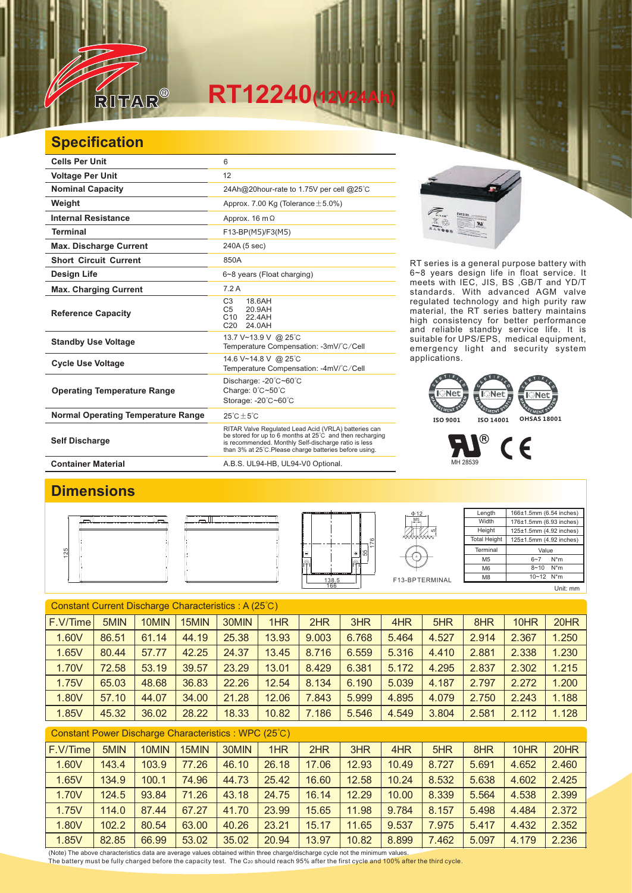

## **Specification**

RITAR

| <b>Cells Per Unit</b>                     | 6                                                                                                                                                                                                                                  |  |  |  |  |  |  |
|-------------------------------------------|------------------------------------------------------------------------------------------------------------------------------------------------------------------------------------------------------------------------------------|--|--|--|--|--|--|
| <b>Voltage Per Unit</b>                   | 12                                                                                                                                                                                                                                 |  |  |  |  |  |  |
| <b>Nominal Capacity</b>                   | 24Ah@20hour-rate to 1.75V per cell @25°C                                                                                                                                                                                           |  |  |  |  |  |  |
| Weight                                    | Approx. 7.00 Kg (Tolerance $\pm$ 5.0%)                                                                                                                                                                                             |  |  |  |  |  |  |
| <b>Internal Resistance</b>                | Approx. $16 \text{ m}\Omega$                                                                                                                                                                                                       |  |  |  |  |  |  |
| <b>Terminal</b>                           | F13-BP(M5)/F3(M5)                                                                                                                                                                                                                  |  |  |  |  |  |  |
| <b>Max. Discharge Current</b>             | 240A (5 sec)                                                                                                                                                                                                                       |  |  |  |  |  |  |
| <b>Short Circuit Current</b>              | 850A                                                                                                                                                                                                                               |  |  |  |  |  |  |
| Design Life                               | 6~8 years (Float charging)                                                                                                                                                                                                         |  |  |  |  |  |  |
| <b>Max. Charging Current</b>              | 7.2A                                                                                                                                                                                                                               |  |  |  |  |  |  |
| <b>Reference Capacity</b>                 | 18.6AH<br>C <sub>3</sub><br>20.9AH<br>C <sub>5</sub><br>22.4AH<br>C10<br>C <sub>20</sub><br>24.0AH                                                                                                                                 |  |  |  |  |  |  |
| <b>Standby Use Voltage</b>                | 13.7 V~13.9 V @ 25°C<br>Temperature Compensation: -3mV/°C/Cell                                                                                                                                                                     |  |  |  |  |  |  |
| <b>Cycle Use Voltage</b>                  | 14.6 V~14.8 V @ 25°C<br>Temperature Compensation: -4mV/°C/Cell                                                                                                                                                                     |  |  |  |  |  |  |
| <b>Operating Temperature Range</b>        | Discharge: -20°C~60°C<br>Charge: 0°C~50°C<br>Storage: -20°C~60°C                                                                                                                                                                   |  |  |  |  |  |  |
| <b>Normal Operating Temperature Range</b> | $25^{\circ}$ C + 5 $^{\circ}$ C                                                                                                                                                                                                    |  |  |  |  |  |  |
| <b>Self Discharge</b>                     | RITAR Valve Regulated Lead Acid (VRLA) batteries can<br>be stored for up to 6 months at 25°C and then recharging<br>is recommended. Monthly Self-discharge ratio is less<br>than 3% at 25°C. Please charge batteries before using. |  |  |  |  |  |  |
| <b>Container Material</b>                 | A.B.S. UL94-HB, UL94-V0 Optional.                                                                                                                                                                                                  |  |  |  |  |  |  |

 $\overline{M}$ 

RT series is a general purpose battery with 6~8 years design life in float service. It meets with IEC, JIS, BS ,GB/T and YD/T standards. With advanced AGM valve regulated technology and high purity raw material, the RT series battery maintains high consistency for better performance and reliable standby service life. It is suitable for UPS/EPS, medical equipment, emergency light and security system applications.



MH 28539

# **Dimensions** 125



F13-BPTERMINAL

5 M<sub>5</sub> Φ12

| Length              | 166±1.5mm (6.54 inches) |  |  |  |  |  |  |  |
|---------------------|-------------------------|--|--|--|--|--|--|--|
| Width               | 176±1.5mm (6.93 inches) |  |  |  |  |  |  |  |
| Height              | 125±1.5mm (4.92 inches) |  |  |  |  |  |  |  |
| <b>Total Height</b> | 125±1.5mm (4.92 inches) |  |  |  |  |  |  |  |
| Terminal            | Value                   |  |  |  |  |  |  |  |
| M <sub>5</sub>      | $N^*m$<br>$6 - 7$       |  |  |  |  |  |  |  |
| M <sub>6</sub>      | $N^*m$<br>$8 - 10$      |  |  |  |  |  |  |  |
| M <sub>8</sub>      | 10~12 N*m               |  |  |  |  |  |  |  |
|                     | Unit: mm                |  |  |  |  |  |  |  |

### Constant Current Discharge Characteristics : A (25℃)

| F.V/Time | 5MIN  | 10MIN | 15MIN | 30MIN | 1HR   | 2HR   | 3HR   | 4HR   | 5HR   | 8HR   | 10HR  | 20HR  |
|----------|-------|-------|-------|-------|-------|-------|-------|-------|-------|-------|-------|-------|
| 1.60V    | 86.51 | 61.14 | 44.19 | 25.38 | 13.93 | 9.003 | 6.768 | 5.464 | 4.527 | 2.914 | 2.367 | 1.250 |
| 1.65V    | 80.44 | 57.77 | 42.25 | 24.37 | 13.45 | 8.716 | 6.559 | 5.316 | 4.410 | 2.881 | 2.338 | 1.230 |
| 1.70V    | 72.58 | 53.19 | 39.57 | 23.29 | 13.01 | 8.429 | 6.381 | 5.172 | 4.295 | 2.837 | 2.302 | 1.215 |
| 1.75V    | 65.03 | 48.68 | 36.83 | 22.26 | 12.54 | 8.134 | 6.190 | 5.039 | 4.187 | 2.797 | 2.272 | 1.200 |
| 1.80V    | 57.10 | 44.07 | 34.00 | 21.28 | 12.06 | 7.843 | 5.999 | 4.895 | 4.079 | 2.750 | 2.243 | 1.188 |
| 1.85V    | 45.32 | 36.02 | 28.22 | 18.33 | 10.82 | 186   | 5.546 | 4.549 | 3.804 | 2.581 | 2.112 | 1.128 |

| Constant Power Discharge Characteristics: WPC (25°C) |       |       |       |       |       |       |       |       |       |       |       |       |
|------------------------------------------------------|-------|-------|-------|-------|-------|-------|-------|-------|-------|-------|-------|-------|
| F.V/Time                                             | 5MIN  | 10MIN | 15MIN | 30MIN | 1HR   | 2HR   | 3HR   | 4HR   | 5HR   | 8HR   | 10HR  | 20HR  |
| 1.60V                                                | 143.4 | 103.9 | 77.26 | 46.10 | 26.18 | 17.06 | 12.93 | 10.49 | 8.727 | 5.691 | 4.652 | 2.460 |
| 1.65V                                                | 134.9 | 100.1 | 74.96 | 44.73 | 25.42 | 16.60 | 12.58 | 10.24 | 8.532 | 5.638 | 4.602 | 2.425 |
| 1.70V                                                | 124.5 | 93.84 | 71.26 | 43.18 | 24.75 | 16.14 | 12.29 | 10.00 | 8.339 | 5.564 | 4.538 | 2.399 |
| 1.75V                                                | 114.0 | 87.44 | 67.27 | 41.70 | 23.99 | 15.65 | 11.98 | 9.784 | 8.157 | 5.498 | 4.484 | 2.372 |
| 1.80V                                                | 102.2 | 80.54 | 63.00 | 40.26 | 23.21 | 15.17 | 11.65 | 9.537 | 7.975 | 5.417 | 4.432 | 2.352 |
| 1.85V                                                | 82.85 | 66.99 | 53.02 | 35.02 | 20.94 | 13.97 | 10.82 | 8.899 | 7.462 | 5.097 | 4.179 | 2.236 |

(Note) The above characteristics data are average values obtained within three charge/discharge cycle not the minimum values. The battery must be fully charged before the capacity test. The C<sub>20</sub> should reach 95% after the first cycle and 100% after the third cycle.